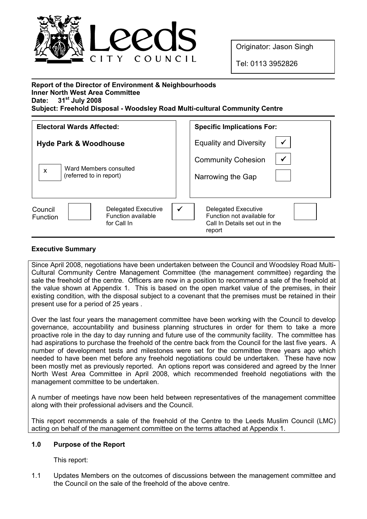

Originator: Jason Singh

Tel: 0113 3952826

| <b>Report of the Director of Environment &amp; Neighbourhoods</b>          |
|----------------------------------------------------------------------------|
| <b>Inner North West Area Committee</b>                                     |
| Date: $31^{st}$ July 2008                                                  |
| Subject: Freehold Disposal - Woodsley Road Multi-cultural Community Centre |

| <b>Electoral Wards Affected:</b>                                                              | <b>Specific Implications For:</b>                                                                             |
|-----------------------------------------------------------------------------------------------|---------------------------------------------------------------------------------------------------------------|
| <b>Hyde Park &amp; Woodhouse</b><br>Ward Members consulted<br>X<br>(referred to in report)    | <b>Equality and Diversity</b><br><b>Community Cohesion</b><br>Narrowing the Gap                               |
| Council<br><b>Delegated Executive</b><br>Function available<br><b>Function</b><br>for Call In | $\checkmark$<br>Delegated Executive<br>Function not available for<br>Call In Details set out in the<br>report |

# Executive Summary

Since April 2008, negotiations have been undertaken between the Council and Woodsley Road Multi-Cultural Community Centre Management Committee (the management committee) regarding the sale the freehold of the centre. Officers are now in a position to recommend a sale of the freehold at the value shown at Appendix 1. This is based on the open market value of the premises, in their existing condition, with the disposal subject to a covenant that the premises must be retained in their present use for a period of 25 years .

Over the last four years the management committee have been working with the Council to develop governance, accountability and business planning structures in order for them to take a more proactive role in the day to day running and future use of the community facility. The committee has had aspirations to purchase the freehold of the centre back from the Council for the last five years. A number of development tests and milestones were set for the committee three years ago which needed to have been met before any freehold negotiations could be undertaken. These have now been mostly met as previously reported. An options report was considered and agreed by the Inner North West Area Committee in April 2008, which recommended freehold negotiations with the management committee to be undertaken.

A number of meetings have now been held between representatives of the management committee along with their professional advisers and the Council.

This report recommends a sale of the freehold of the Centre to the Leeds Muslim Council (LMC) acting on behalf of the management committee on the terms attached at Appendix 1.

## 1.0 Purpose of the Report

This report:

1.1 Updates Members on the outcomes of discussions between the management committee and the Council on the sale of the freehold of the above centre.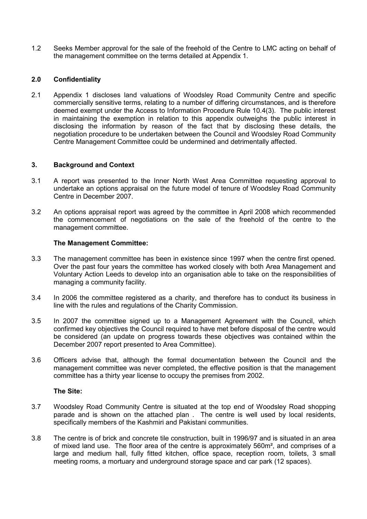1.2 Seeks Member approval for the sale of the freehold of the Centre to LMC acting on behalf of the management committee on the terms detailed at Appendix 1.

# 2.0 Confidentiality

2.1 Appendix 1 discloses land valuations of Woodsley Road Community Centre and specific commercially sensitive terms, relating to a number of differing circumstances, and is therefore deemed exempt under the Access to Information Procedure Rule 10.4(3). The public interest in maintaining the exemption in relation to this appendix outweighs the public interest in disclosing the information by reason of the fact that by disclosing these details, the negotiation procedure to be undertaken between the Council and Woodsley Road Community Centre Management Committee could be undermined and detrimentally affected.

## 3. Background and Context

- 3.1 A report was presented to the Inner North West Area Committee requesting approval to undertake an options appraisal on the future model of tenure of Woodsley Road Community Centre in December 2007.
- 3.2 An options appraisal report was agreed by the committee in April 2008 which recommended the commencement of negotiations on the sale of the freehold of the centre to the management committee.

#### The Management Committee:

- 3.3 The management committee has been in existence since 1997 when the centre first opened. Over the past four years the committee has worked closely with both Area Management and Voluntary Action Leeds to develop into an organisation able to take on the responsibilities of managing a community facility.
- 3.4 In 2006 the committee registered as a charity, and therefore has to conduct its business in line with the rules and regulations of the Charity Commission.
- 3.5 In 2007 the committee signed up to a Management Agreement with the Council, which confirmed key objectives the Council required to have met before disposal of the centre would be considered (an update on progress towards these objectives was contained within the December 2007 report presented to Area Committee).
- 3.6 Officers advise that, although the formal documentation between the Council and the management committee was never completed, the effective position is that the management committee has a thirty year license to occupy the premises from 2002.

## The Site:

- 3.7 Woodsley Road Community Centre is situated at the top end of Woodsley Road shopping parade and is shown on the attached plan . The centre is well used by local residents, specifically members of the Kashmiri and Pakistani communities.
- 3.8 The centre is of brick and concrete tile construction, built in 1996/97 and is situated in an area of mixed land use. The floor area of the centre is approximately 560m², and comprises of a large and medium hall, fully fitted kitchen, office space, reception room, toilets, 3 small meeting rooms, a mortuary and underground storage space and car park (12 spaces).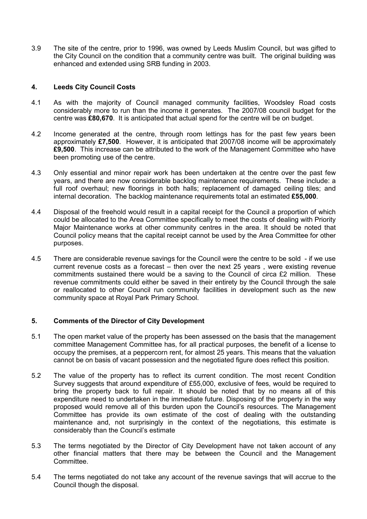3.9 The site of the centre, prior to 1996, was owned by Leeds Muslim Council, but was gifted to the City Council on the condition that a community centre was built. The original building was enhanced and extended using SRB funding in 2003.

# 4. Leeds City Council Costs

- 4.1 As with the majority of Council managed community facilities, Woodsley Road costs considerably more to run than the income it generates. The 2007/08 council budget for the centre was £80,670. It is anticipated that actual spend for the centre will be on budget.
- 4.2 Income generated at the centre, through room lettings has for the past few years been approximately £7,500. However, it is anticipated that 2007/08 income will be approximately £9,500. This increase can be attributed to the work of the Management Committee who have been promoting use of the centre.
- 4.3 Only essential and minor repair work has been undertaken at the centre over the past few years, and there are now considerable backlog maintenance requirements. These include: a full roof overhaul; new floorings in both halls; replacement of damaged ceiling tiles; and internal decoration. The backlog maintenance requirements total an estimated £55,000.
- 4.4 Disposal of the freehold would result in a capital receipt for the Council a proportion of which could be allocated to the Area Committee specifically to meet the costs of dealing with Priority Major Maintenance works at other community centres in the area. It should be noted that Council policy means that the capital receipt cannot be used by the Area Committee for other purposes.
- 4.5 There are considerable revenue savings for the Council were the centre to be sold if we use current revenue costs as a forecast – then over the next 25 years , were existing revenue commitments sustained there would be a saving to the Council of circa £2 million. These revenue commitments could either be saved in their entirety by the Council through the sale or reallocated to other Council run community facilities in development such as the new community space at Royal Park Primary School.

## 5. Comments of the Director of City Development

- 5.1 The open market value of the property has been assessed on the basis that the management committee Management Committee has, for all practical purposes, the benefit of a license to occupy the premises, at a peppercorn rent, for almost 25 years. This means that the valuation cannot be on basis of vacant possession and the negotiated figure does reflect this position.
- 5.2 The value of the property has to reflect its current condition. The most recent Condition Survey suggests that around expenditure of £55,000, exclusive of fees, would be required to bring the property back to full repair. It should be noted that by no means all of this expenditure need to undertaken in the immediate future. Disposing of the property in the way proposed would remove all of this burden upon the Council's resources. The Management Committee has provide its own estimate of the cost of dealing with the outstanding maintenance and, not surprisingly in the context of the negotiations, this estimate is considerably than the Council's estimate
- 5.3 The terms negotiated by the Director of City Development have not taken account of any other financial matters that there may be between the Council and the Management Committee.
- 5.4 The terms negotiated do not take any account of the revenue savings that will accrue to the Council though the disposal.